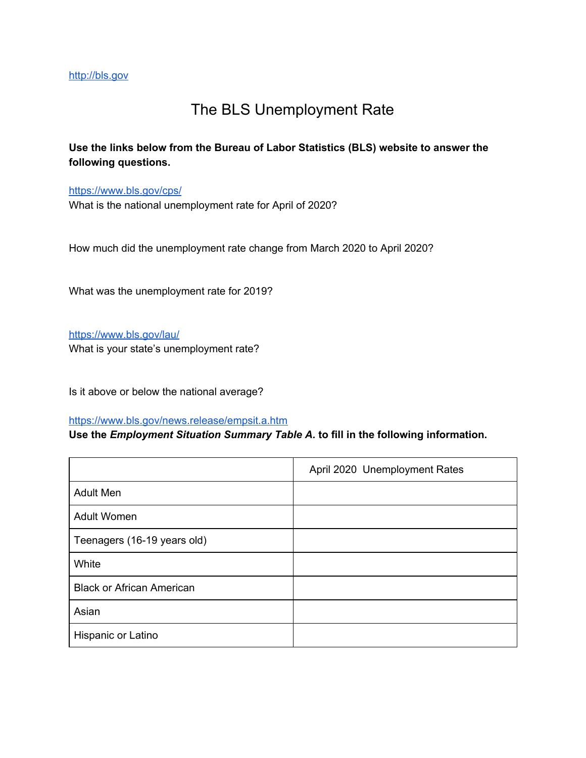## The BLS Unemployment Rate

**Use the links below from the Bureau of Labor Statistics (BLS) website to answer the following questions.**

<https://www.bls.gov/cps/>

What is the national unemployment rate for April of 2020?

How much did the unemployment rate change from March 2020 to April 2020?

What was the unemployment rate for 2019?

<https://www.bls.gov/lau/> What is your state's unemployment rate?

Is it above or below the national average?

#### <https://www.bls.gov/news.release/empsit.a.htm>

### **Use the** *Employment Situation Summary Table A.* **to fill in the following information.**

|                                  | April 2020 Unemployment Rates |
|----------------------------------|-------------------------------|
| <b>Adult Men</b>                 |                               |
| <b>Adult Women</b>               |                               |
| Teenagers (16-19 years old)      |                               |
| White                            |                               |
| <b>Black or African American</b> |                               |
| Asian                            |                               |
| Hispanic or Latino               |                               |